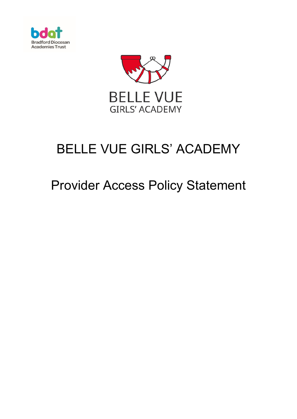



# BELLE VUE GIRLS' ACADEMY

## Provider Access Policy Statement